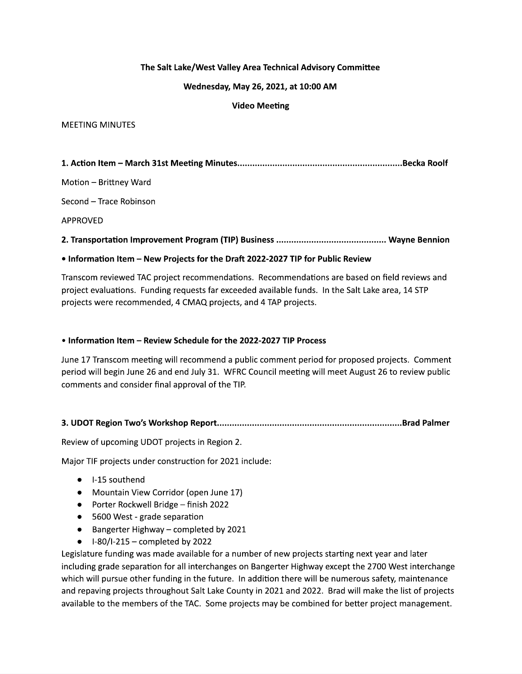## The Salt Lake/West Valley Area Technical Advisory Committee

#### Wednesday, May 26, 2021, at 10:00 AM

## **Video Meeting**

#### **MEETING MINUTES**

Motion - Brittney Ward

Second - Trace Robinson

**APPROVED** 

## 

## . Information Item - New Projects for the Draft 2022-2027 TIP for Public Review

Transcom reviewed TAC project recommendations. Recommendations are based on field reviews and project evaluations. Funding requests far exceeded available funds. In the Salt Lake area, 14 STP projects were recommended, 4 CMAQ projects, and 4 TAP projects.

## • Information Item - Review Schedule for the 2022-2027 TIP Process

June 17 Transcom meeting will recommend a public comment period for proposed projects. Comment period will begin June 26 and end July 31. WFRC Council meeting will meet August 26 to review public comments and consider final approval of the TIP.

## 

Review of upcoming UDOT projects in Region 2.

Major TIF projects under construction for 2021 include:

- $\bullet$  I-15 southend
- Mountain View Corridor (open June 17)
- Porter Rockwell Bridge finish 2022
- 5600 West grade separation
- Bangerter Highway completed by 2021
- $\bullet$  I-80/I-215 completed by 2022

Legislature funding was made available for a number of new projects starting next year and later including grade separation for all interchanges on Bangerter Highway except the 2700 West interchange which will pursue other funding in the future. In addition there will be numerous safety, maintenance and repaving projects throughout Salt Lake County in 2021 and 2022. Brad will make the list of projects available to the members of the TAC. Some projects may be combined for better project management.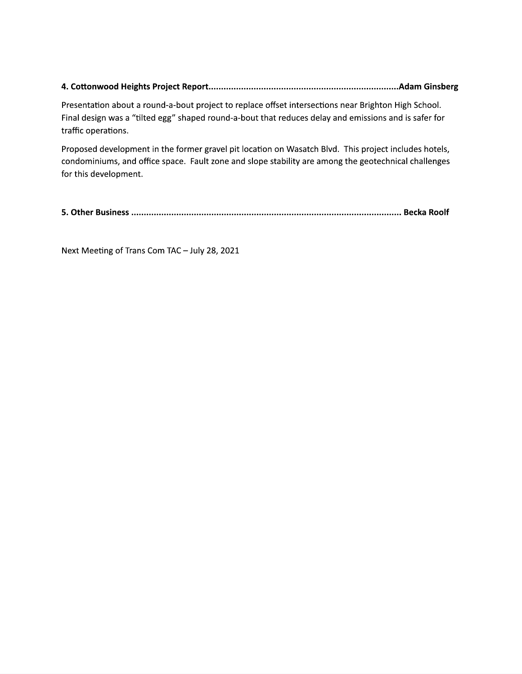# 

Presentation about a round-a-bout project to replace offset intersections near Brighton High School. Final design was a "tilted egg" shaped round-a-bout that reduces delay and emissions and is safer for traffic operations.

Proposed development in the former gravel pit location on Wasatch Blvd. This project includes hotels, condominiums, and office space. Fault zone and slope stability are among the geotechnical challenges for this development.

Next Meeting of Trans Com TAC - July 28, 2021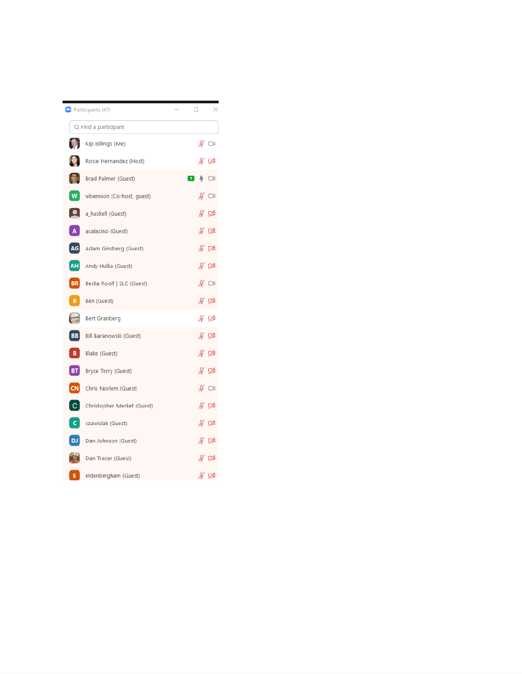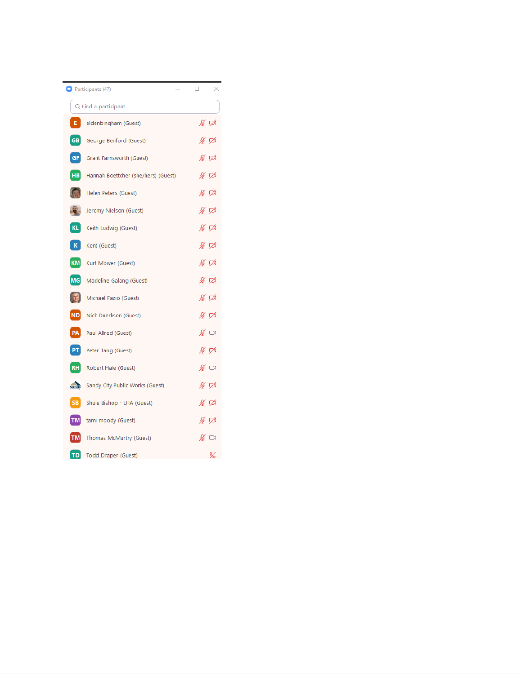| Participants (47)    |                                     |                        | × |
|----------------------|-------------------------------------|------------------------|---|
| Q Find a participant |                                     |                        |   |
| E.                   | eldenbingham (Guest)                | ∦ ⊄                    |   |
| GB                   | George Benford (Guest)              | ∦ ⊄                    |   |
| GF                   | Grant Farnsworth (Guest)            | ∦ ⊄                    |   |
| HB                   | Hannah Boettcher (she/hers) (Guest) | ∦ ⊄                    |   |
|                      | Helen Peters (Guest)                | ∦ ⊄                    |   |
|                      | Jeremy Nielson (Guest)              | ∦ ⊄                    |   |
| KL                   | Keith Ludwig (Guest)                | ∦ ⊄                    |   |
| K                    | Kent (Guest)                        | ∦ ⊄                    |   |
| <b>KM</b>            | Kurt Mower (Guest)                  | ∦ ⊄                    |   |
| <b>MG</b>            | Madeline Galang (Guest)             | ∦ ⊄                    |   |
|                      | Michael Fazio (Guest)               | ∦ ⊄                    |   |
| ND                   | Nick Duerksen (Guest)               | ∦ ≮                    |   |
| PA                   | Paul Allred (Guest)                 | $\mathscr{L} \ \ \Box$ |   |
| PT.                  | Peter Tang (Guest)                  | ∦ ⊄                    |   |
| RH                   | Robert Hale (Guest)                 | ∦ ⊡                    |   |
| sandy                | Sandy City Public Works (Guest)     | ∦ ⊄                    |   |
| SB                   | Shule Bishop - UTA (Guest)          | ∦⊽                     |   |
| TM                   | tami moody (Guest)                  | ∦ ⊄                    |   |
| TM                   | Thomas McMurtry (Guest)             | $\mathscr{L} \ \ \Box$ |   |
| TD                   | <b>Todd Draper (Guest)</b>          |                        | ¥ |

Ē,